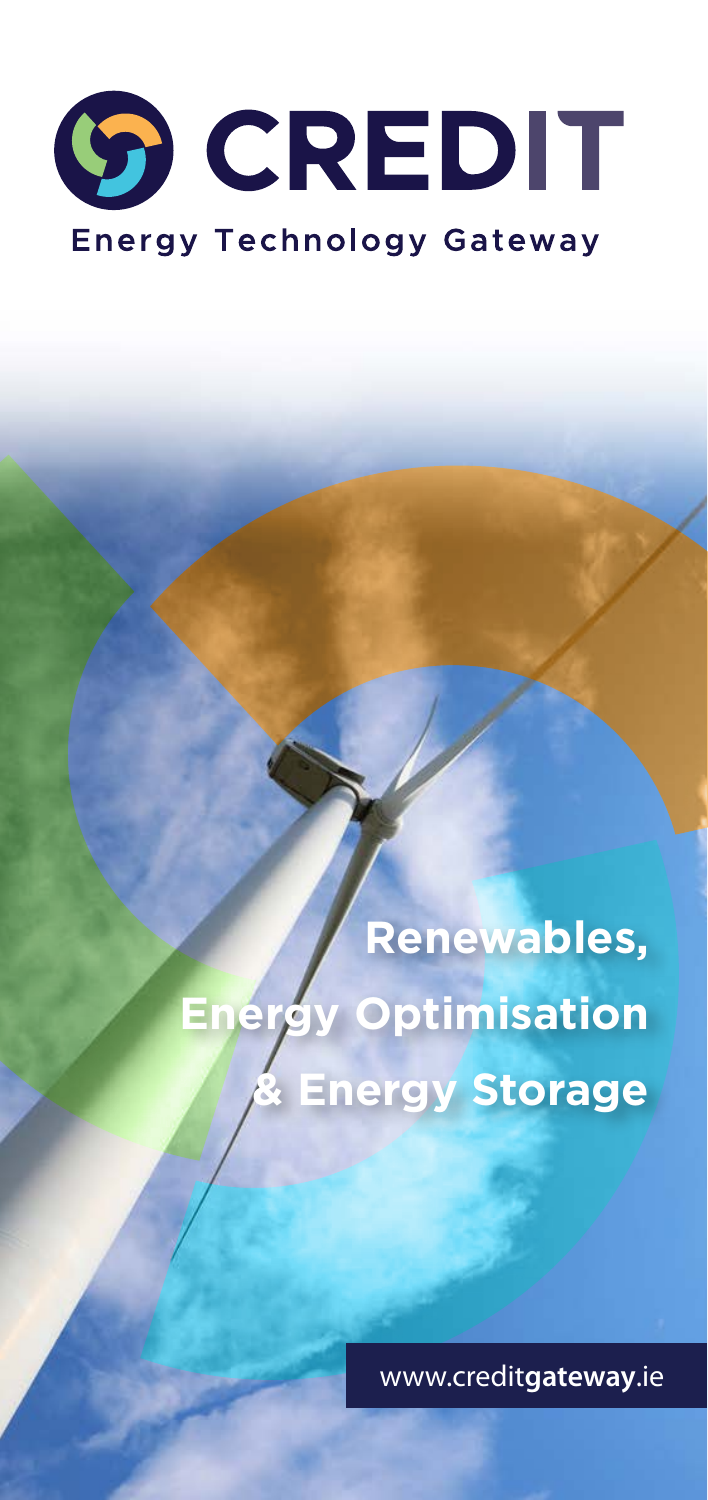# **SO CREDIT Energy Technology Gateway**

**Renewables, Energy Optimisation & Energy Storage**

www.credit**gateway**.ie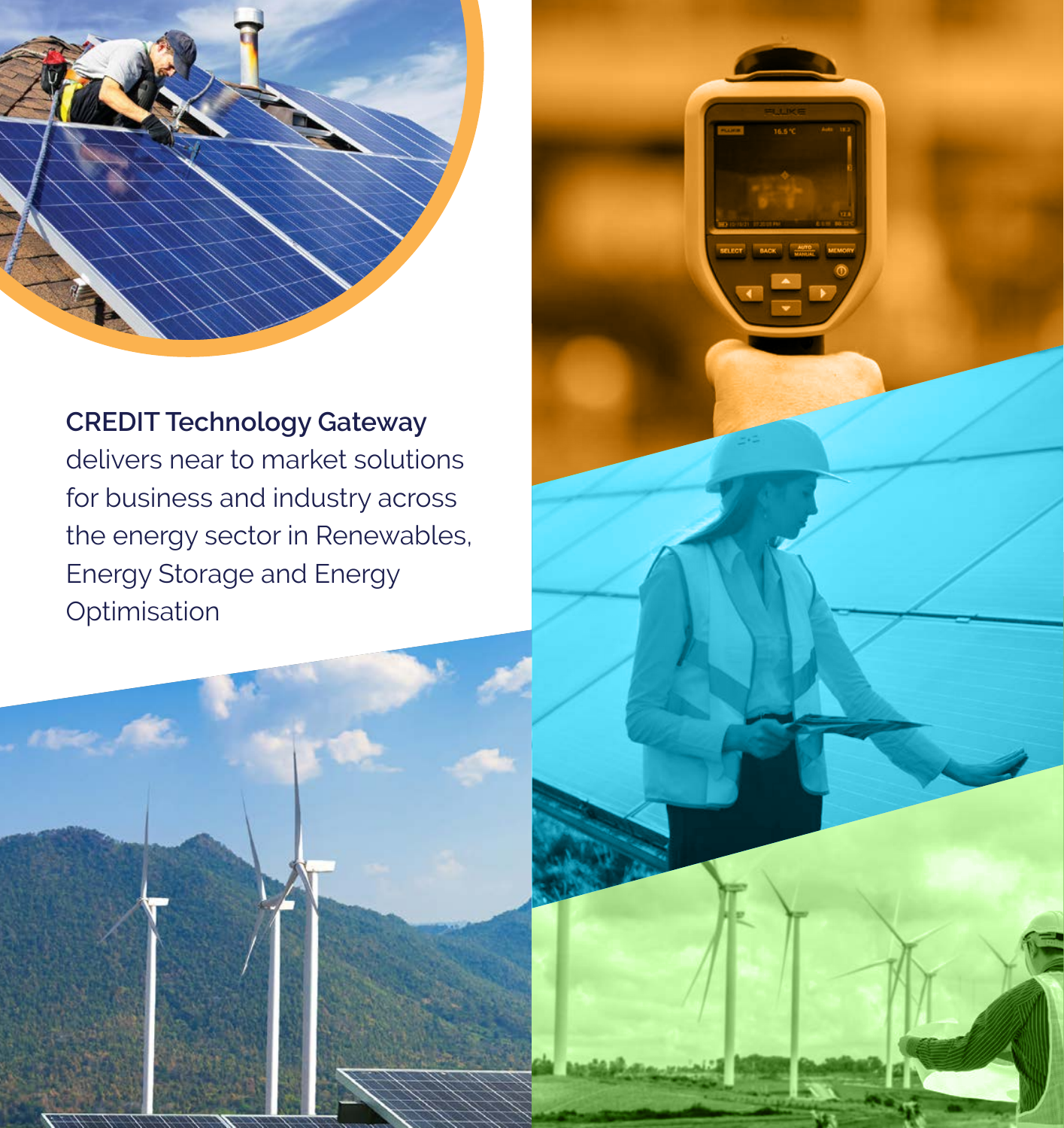

**CREDIT Technology Gateway** delivers near to market solutions for business and industry across the energy sector in Renewables, Energy Storage and Energy Optimisation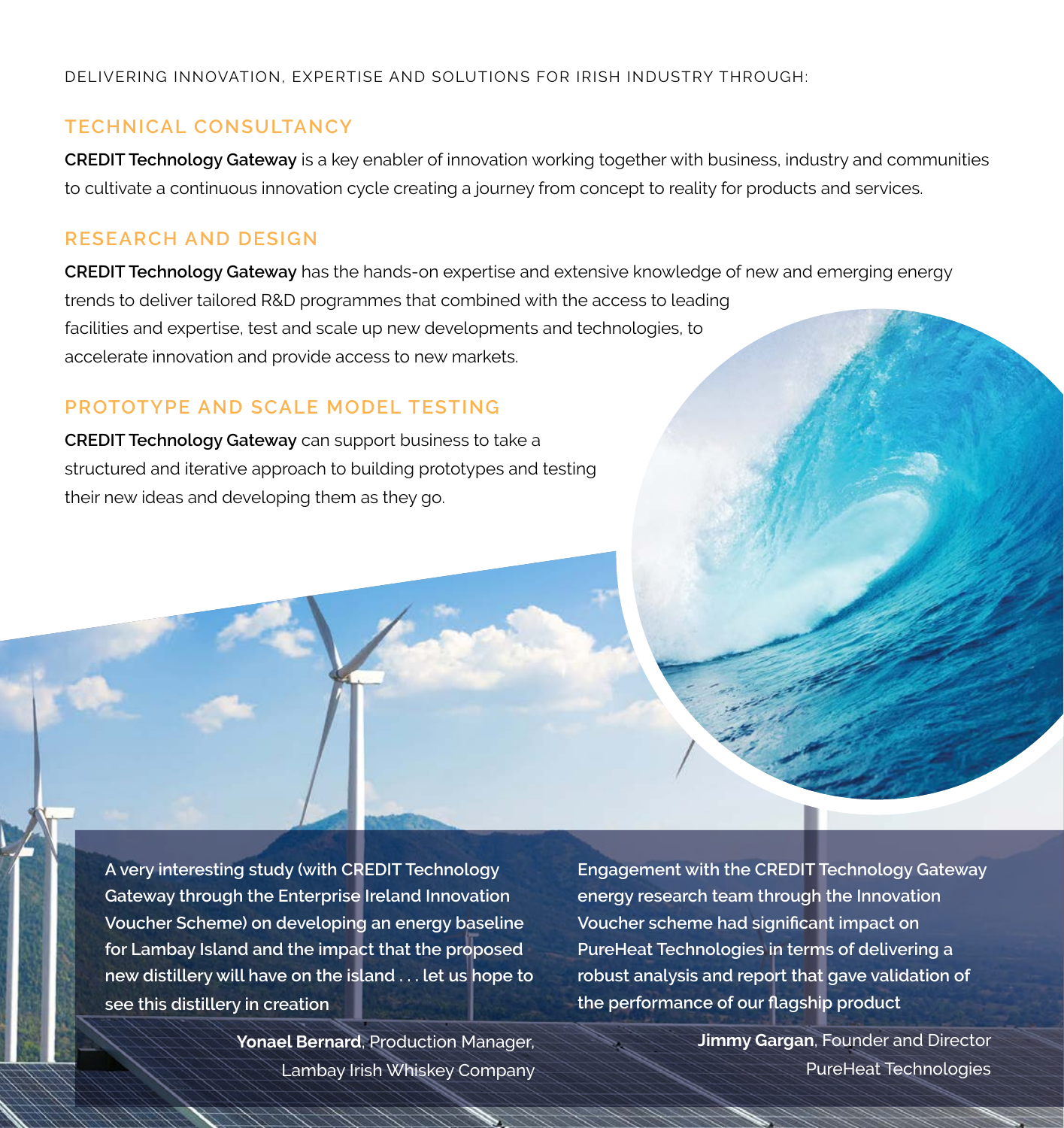#### DELIVERING INNOVATION, EXPERTISE AND SOLUTIONS FOR IRISH INDUSTRY THROUGH:

### **TECHNICAL CONSULTANCY**

**CREDIT Technology Gateway** is a key enabler of innovation working together with business, industry and communities to cultivate a continuous innovation cycle creating a journey from concept to reality for products and services.

# **RESEARCH AND DESIGN**

**CREDIT Technology Gateway** has the hands-on expertise and extensive knowledge of new and emerging energy trends to deliver tailored R&D programmes that combined with the access to leading facilities and expertise, test and scale up new developments and technologies, to accelerate innovation and provide access to new markets.

# **PROTOTYPE AND SCALE MODEL TESTING**

**CREDIT Technology Gateway** can support business to take a structured and iterative approach to building prototypes and testing their new ideas and developing them as they go.

**A very interesting study (with CREDIT Technology Gateway through the Enterprise Ireland Innovation Voucher Scheme) on developing an energy baseline for Lambay Island and the impact that the proposed new distillery will have on the island . . . let us hope to see this distillery in creation**

> **Yonael Bernard**, Production Manager, Lambay Irish Whiskey Company

**Engagement with the CREDIT Technology Gateway energy research team through the Innovation Voucher scheme had significant impact on PureHeat Technologies in terms of delivering a robust analysis and report that gave validation of the performance of our flagship product**

> **Jimmy Gargan**, Founder and Director PureHeat Technologies